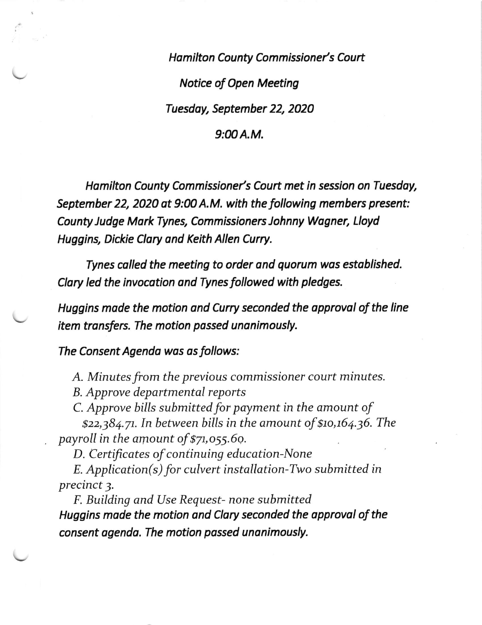Hamilton County Commissioner's Court Notice of Open Meeting Tuesdoy, September 22, 2020  $9:00A.M.$ 

Hamilton County Commissioner's Court met in session on Tuesday, September 22, 2020 at 9:00 A.M. with the following members present: County ludge MorkTynes, Commissioners Johnny Wogner, Lloyd Huggins, Dickie Clary ond Keith Allen Curry.

Tynes colled the meeting to order ond quorum wos established. Clary led the invocotion ond Tynes followed with pledges.

Huggins made the motion and Curry seconded the approval of the line<br>item transfers. The motion passed unanimously.

The Consent Agenda was as follows:

A. Minutes from the previous commissioner court minutes.

B. Approve departmental reports

C. Approve bills submitted for payment in the amount of

 $$22,384.71$ . In between bills in the amount of  $$10,164.36$ . The payroll in the amount of  $$71,055.69$ .

D. Certificates of continuing education-None

E. Application(s) for culvert installation-Two submitted in precinct 3.

F. Building and Use Request- none submitted Huggins made the motion and Clary seconded the approval of the consent agenda. The motion possed unanimously.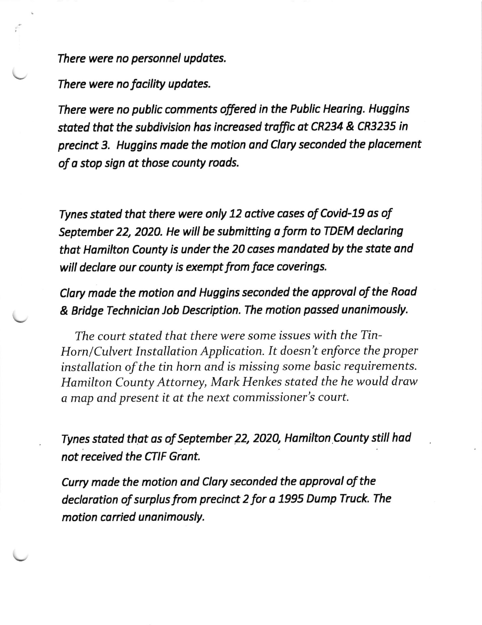There were no personnel updates.

There were no facility updates.

There were no public comments offered in the Public Hearing. Huggins stated that the subdivision has increased traffic at CR234 & CR3235 in precinct 3. Huggins made the motion and Clary seconded the placement of a stop sign at those county roads.

Tynes stated that there were only 12 active cases of Covid-19 as of September 22, 2020. He will be submitting a form to TDEM declaring that Hamilton County is under the 20 cases mandated by the state and will declare our county is exempt from face coverings.

Clary made the motion and Huggins seconded the approval of the Road & Bridge Technician Job Description. The motion passed unanimously.

The court stated that there were some issues with the Tin-Horn/Culvert Installation Application. It doesn't enforce the proper installation of the tin horn and is missing some basic requirements. Hamilton County Attorney, Mark Henkes stated the he would draw a map and present it at the next commissioner's court.

Tynes stated that as of September 22, 2020, Hamilton County still had not received the CTIF Grant.

Curry made the motion and Clary seconded the approval of the declaration of surplus from precinct 2 for a 1995 Dump Truck. The motion carried unanimously.